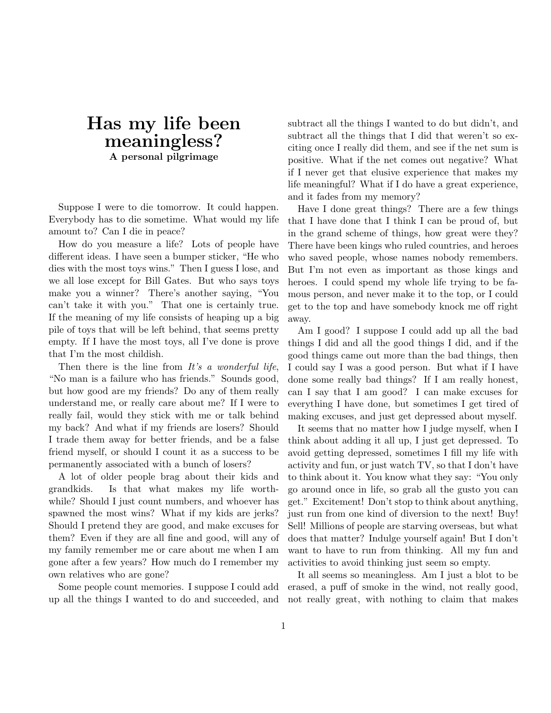## **Has my life been meaningless? A personal pilgrimage**

Suppose I were to die tomorrow. It could happen. Everybody has to die sometime. What would my life amount to? Can I die in peace?

How do you measure a life? Lots of people have different ideas. I have seen a bumper sticker, "He who dies with the most toys wins." Then I guess I lose, and we all lose except for Bill Gates. But who says toys make you a winner? There's another saying, "You can't take it with you." That one is certainly true. If the meaning of my life consists of heaping up a big pile of toys that will be left behind, that seems pretty empty. If I have the most toys, all I've done is prove that I'm the most childish.

Then there is the line from  $It's a wonderful life,$ "No man is a failure who has friends." Sounds good, but how good are my friends? Do any of them really understand me, or really care about me? If I were to really fail, would they stick with me or talk behind my back? And what if my friends are losers? Should I trade them away for better friends, and be a false friend myself, or should I count it as a success to be permanently associated with a bunch of losers?

A lot of older people brag about their kids and grandkids. Is that what makes my life worthwhile? Should I just count numbers, and whoever has spawned the most wins? What if my kids are jerks? Should I pretend they are good, and make excuses for them? Even if they are all fine and good, will any of my family remember me or care about me when I am gone after a few years? How much do I remember my own relatives who are gone?

Some people count memories. I suppose I could add up all the things I wanted to do and succeeded, and

subtract all the things I wanted to do but didn't, and subtract all the things that I did that weren't so exciting once I really did them, and see if the net sum is positive. What if the net comes out negative? What if I never get that elusive experience that makes my life meaningful? What if I do have a great experience, and it fades from my memory?

Have I done great things? There are a few things that I have done that I think I can be proud of, but in the grand scheme of things, how great were they? There have been kings who ruled countries, and heroes who saved people, whose names nobody remembers. But I'm not even as important as those kings and heroes. I could spend my whole life trying to be famous person, and never make it to the top, or I could get to the top and have somebody knock me off right away.

Am I good? I suppose I could add up all the bad things I did and all the good things I did, and if the good things came out more than the bad things, then I could say I was a good person. But what if I have done some really bad things? If I am really honest, can I say that I am good? I can make excuses for everything I have done, but sometimes I get tired of making excuses, and just get depressed about myself.

It seems that no matter how I judge myself, when I think about adding it all up, I just get depressed. To avoid getting depressed, sometimes I fill my life with activity and fun, or just watch TV, so that I don't have to think about it. You know what they say: "You only go around once in life, so grab all the gusto you can get." Excitement! Don't stop to think about anything, just run from one kind of diversion to the next! Buy! Sell! Millions of people are starving overseas, but what does that matter? Indulge yourself again! But I don't want to have to run from thinking. All my fun and activities to avoid thinking just seem so empty.

It all seems so meaningless. Am I just a blot to be erased, a puff of smoke in the wind, not really good, not really great, with nothing to claim that makes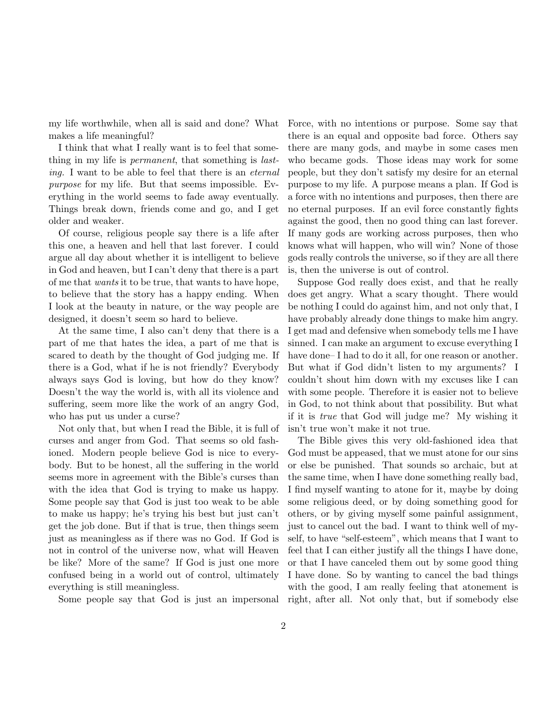my life worthwhile, when all is said and done? What makes a life meaningful?

I think that what I really want is to feel that something in my life is permanent, that something is lasting. I want to be able to feel that there is an eternal purpose for my life. But that seems impossible. Everything in the world seems to fade away eventually. Things break down, friends come and go, and I get older and weaker.

Of course, religious people say there is a life after this one, a heaven and hell that last forever. I could argue all day about whether it is intelligent to believe in God and heaven, but I can't deny that there is a part of me that wants it to be true, that wants to have hope, to believe that the story has a happy ending. When I look at the beauty in nature, or the way people are designed, it doesn't seem so hard to believe.

At the same time, I also can't deny that there is a part of me that hates the idea, a part of me that is scared to death by the thought of God judging me. If there is a God, what if he is not friendly? Everybody always says God is loving, but how do they know? Doesn't the way the world is, with all its violence and suffering, seem more like the work of an angry God, who has put us under a curse?

Not only that, but when I read the Bible, it is full of curses and anger from God. That seems so old fashioned. Modern people believe God is nice to everybody. But to be honest, all the suffering in the world seems more in agreement with the Bible's curses than with the idea that God is trying to make us happy. Some people say that God is just too weak to be able to make us happy; he's trying his best but just can't get the job done. But if that is true, then things seem just as meaningless as if there was no God. If God is not in control of the universe now, what will Heaven be like? More of the same? If God is just one more confused being in a world out of control, ultimately everything is still meaningless.

Some people say that God is just an impersonal

Force, with no intentions or purpose. Some say that there is an equal and opposite bad force. Others say there are many gods, and maybe in some cases men who became gods. Those ideas may work for some people, but they don't satisfy my desire for an eternal purpose to my life. A purpose means a plan. If God is a force with no intentions and purposes, then there are no eternal purposes. If an evil force constantly fights against the good, then no good thing can last forever. If many gods are working across purposes, then who knows what will happen, who will win? None of those gods really controls the universe, so if they are all there is, then the universe is out of control.

Suppose God really does exist, and that he really does get angry. What a scary thought. There would be nothing I could do against him, and not only that, I have probably already done things to make him angry. I get mad and defensive when somebody tells me I have sinned. I can make an argument to excuse everything I have done– I had to do it all, for one reason or another. But what if God didn't listen to my arguments? I couldn't shout him down with my excuses like I can with some people. Therefore it is easier not to believe in God, to not think about that possibility. But what if it is true that God will judge me? My wishing it isn't true won't make it not true.

The Bible gives this very old-fashioned idea that God must be appeased, that we must atone for our sins or else be punished. That sounds so archaic, but at the same time, when I have done something really bad, I find myself wanting to atone for it, maybe by doing some religious deed, or by doing something good for others, or by giving myself some painful assignment, just to cancel out the bad. I want to think well of myself, to have "self-esteem", which means that I want to feel that I can either justify all the things I have done, or that I have canceled them out by some good thing I have done. So by wanting to cancel the bad things with the good, I am really feeling that atonement is right, after all. Not only that, but if somebody else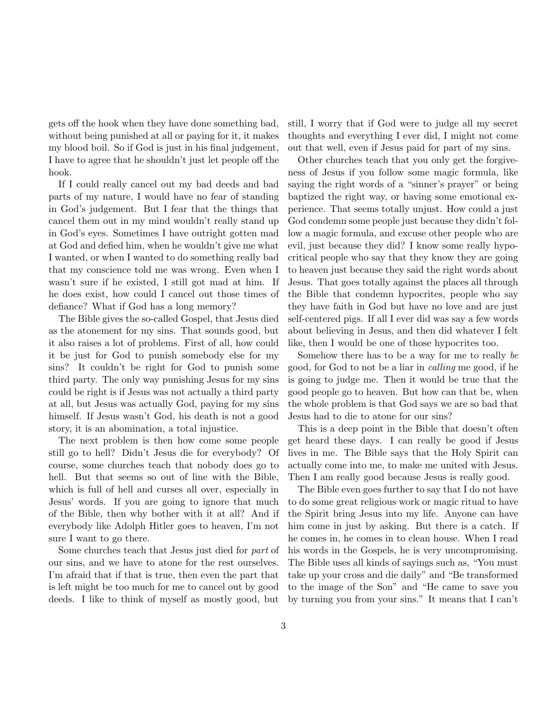gets off the hook when they have done something bad, without being punished at all or paying for it, it makes my blood boil. So if God is just in his final judgement, I have to agree that he shouldn't just let people off the hook.

If I could really cancel out my bad deeds and bad parts of my nature, I would have no fear of standing in God's judgement. But I fear that the things that cancel them out in my mind wouldn't really stand up in God's eyes. Sometimes I have outright gotten mad at God and defied him, when he wouldn't give me what I wanted, or when I wanted to do something really bad that my conscience told me was wrong. Even when I wasn't sure if he existed, I still got mad at him. If he does exist, how could I cancel out those times of defiance? What if God has a long memory?

The Bible gives the so-called Gospel, that Jesus died as the atonement for my sins. That sounds good, but it also raises a lot of problems. First of all, how could it be just for God to punish somebody else for my sins? It couldn't be right for God to punish some third party. The only way punishing Jesus for my sins could be right is if Jesus was not actually a third party at all, but Jesus was actually God, paying for my sins himself. If Jesus wasn't God, his death is not a good story, it is an abomination, a total injustice.

The next problem is then how come some people still go to hell? Didn't Jesus die for everybody? Of course, some churches teach that nobody does go to hell. But that seems so out of line with the Bible, which is full of hell and curses all over, especially in Jesus' words. If you are going to ignore that much of the Bible, then why bother with it at all? And if everybody like Adolph Hitler goes to heaven, I'm not sure I want to go there.

Some churches teach that Jesus just died for part of our sins, and we have to atone for the rest ourselves. I'm afraid that if that is true, then even the part that is left might be too much for me to cancel out by good deeds. I like to think of myself as mostly good, but still, I worry that if God were to judge all my secret thoughts and everything I ever did, I might not come out that well, even if Jesus paid for part of my sins.

Other churches teach that you only get the forgiveness of Jesus if you follow some magic formula, like saying the right words of a "sinner's prayer" or being baptized the right way, or having some emotional experience. That seems totally unjust. How could a just God condemn some people just because they didn't follow a magic formula, and excuse other people who are evil, just because they did? I know some really hypocritical people who say that they know they are going to heaven just because they said the right words about Jesus. That goes totally against the places all through the Bible that condemn hypocrites, people who say they have faith in God but have no love and are just self-centered pigs. If all I ever did was say a few words about believing in Jesus, and then did whatever I felt like, then I would be one of those hypocrites too.

Somehow there has to be a way for me to really be good, for God to not be a liar in calling me good, if he is going to judge me. Then it would be true that the good people go to heaven. But how can that be, when the whole problem is that God says we are so bad that Jesus had to die to atone for our sins?

This is a deep point in the Bible that doesn't often get heard these days. I can really be good if Jesus lives in me. The Bible says that the Holy Spirit can actually come into me, to make me united with Jesus. Then I am really good because Jesus is really good.

The Bible even goes further to say that I do not have to do some great religious work or magic ritual to have the Spirit bring Jesus into my life. Anyone can have him come in just by asking. But there is a catch. If he comes in, he comes in to clean house. When I read his words in the Gospels, he is very uncompromising. The Bible uses all kinds of sayings such as, "You must take up your cross and die daily" and "Be transformed to the image of the Son" and "He came to save you by turning you from your sins." It means that I can't